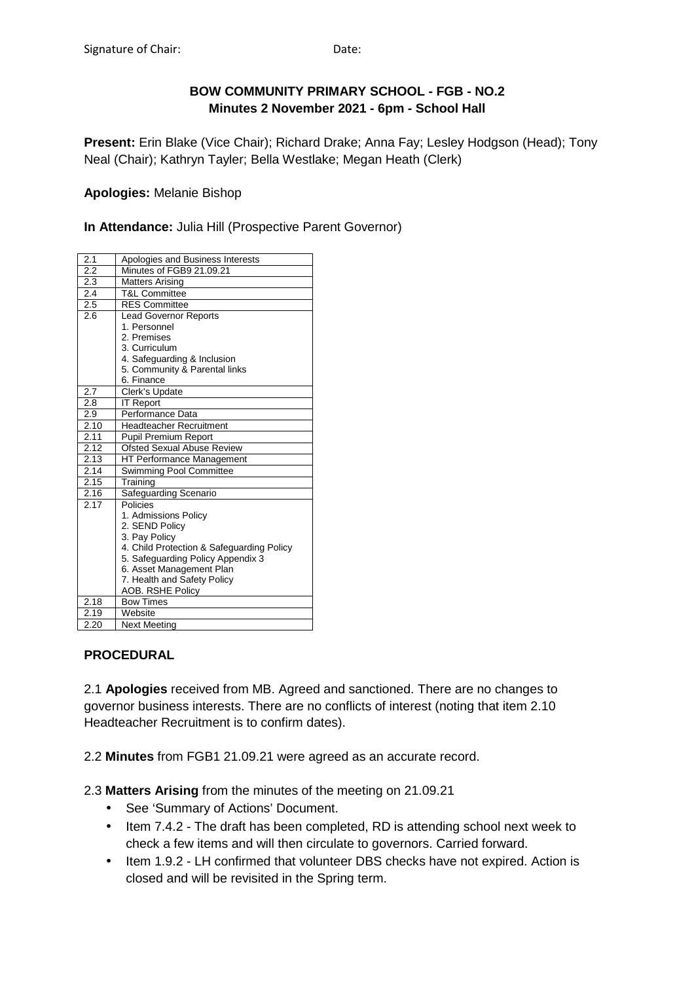## **BOW COMMUNITY PRIMARY SCHOOL - FGB - NO.2 Minutes 2 November 2021 - 6pm - School Hall**

**Present:** Erin Blake (Vice Chair); Richard Drake; Anna Fay; Lesley Hodgson (Head); Tony Neal (Chair); Kathryn Tayler; Bella Westlake; Megan Heath (Clerk)

#### **Apologies:** Melanie Bishop

**In Attendance:** Julia Hill (Prospective Parent Governor)

| 2.1  | Apologies and Business Interests          |
|------|-------------------------------------------|
| 2.2  | Minutes of FGB9 21.09.21                  |
| 2.3  | <b>Matters Arising</b>                    |
| 2.4  | <b>T&amp;L Committee</b>                  |
| 2.5  | <b>RES Committee</b>                      |
| 2.6  | <b>Lead Governor Reports</b>              |
|      | 1. Personnel                              |
|      | 2. Premises                               |
|      | 3. Curriculum                             |
|      | 4. Safeguarding & Inclusion               |
|      | 5. Community & Parental links             |
|      | 6. Finance                                |
| 2.7  | Clerk's Update                            |
| 2.8  | <b>IT Report</b>                          |
| 2.9  | Performance Data                          |
| 2.10 | <b>Headteacher Recruitment</b>            |
| 2.11 | <b>Pupil Premium Report</b>               |
| 2.12 | <b>Ofsted Sexual Abuse Review</b>         |
| 2.13 | <b>HT Performance Management</b>          |
| 2.14 | Swimming Pool Committee                   |
| 2.15 | Training                                  |
| 2.16 | Safeguarding Scenario                     |
| 2.17 | Policies                                  |
|      | 1. Admissions Policy                      |
|      | 2. SEND Policy                            |
|      | 3. Pay Policy                             |
|      | 4. Child Protection & Safeguarding Policy |
|      | 5. Safeguarding Policy Appendix 3         |
|      | 6. Asset Management Plan                  |
|      | 7. Health and Safety Policy               |
|      | <b>AOB. RSHE Policy</b>                   |
| 2.18 | <b>Bow Times</b>                          |
| 2.19 | Website                                   |
| 2.20 | <b>Next Meeting</b>                       |

#### **PROCEDURAL**

2.1 **Apologies** received from MB. Agreed and sanctioned. There are no changes to governor business interests. There are no conflicts of interest (noting that item 2.10 Headteacher Recruitment is to confirm dates).

2.2 **Minutes** from FGB1 21.09.21 were agreed as an accurate record.

2.3 **Matters Arising** from the minutes of the meeting on 21.09.21

- See 'Summary of Actions' Document.
- Item 7.4.2 The draft has been completed, RD is attending school next week to check a few items and will then circulate to governors. Carried forward.
- Item 1.9.2 LH confirmed that volunteer DBS checks have not expired. Action is closed and will be revisited in the Spring term.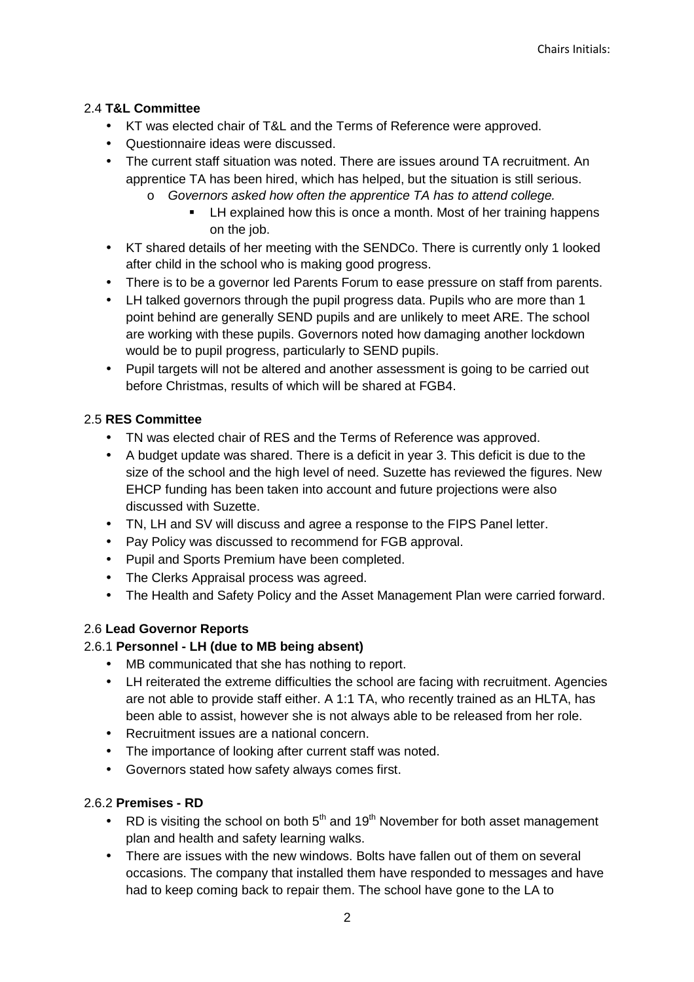## 2.4 **T&L Committee**

- KT was elected chair of T&L and the Terms of Reference were approved.
- Questionnaire ideas were discussed.
- The current staff situation was noted. There are issues around TA recruitment. An apprentice TA has been hired, which has helped, but the situation is still serious.
	- o Governors asked how often the apprentice TA has to attend college.
		- **EXECT** LH explained how this is once a month. Most of her training happens on the job.
- KT shared details of her meeting with the SENDCo. There is currently only 1 looked after child in the school who is making good progress.
- There is to be a governor led Parents Forum to ease pressure on staff from parents.
- LH talked governors through the pupil progress data. Pupils who are more than 1 point behind are generally SEND pupils and are unlikely to meet ARE. The school are working with these pupils. Governors noted how damaging another lockdown would be to pupil progress, particularly to SEND pupils.
- Pupil targets will not be altered and another assessment is going to be carried out before Christmas, results of which will be shared at FGB4.

## 2.5 **RES Committee**

- TN was elected chair of RES and the Terms of Reference was approved.
- A budget update was shared. There is a deficit in year 3. This deficit is due to the size of the school and the high level of need. Suzette has reviewed the figures. New EHCP funding has been taken into account and future projections were also discussed with Suzette.
- TN, LH and SV will discuss and agree a response to the FIPS Panel letter.
- Pay Policy was discussed to recommend for FGB approval.
- Pupil and Sports Premium have been completed.
- The Clerks Appraisal process was agreed.
- The Health and Safety Policy and the Asset Management Plan were carried forward.

# 2.6 **Lead Governor Reports**

#### 2.6.1 **Personnel - LH (due to MB being absent)**

- MB communicated that she has nothing to report.
- LH reiterated the extreme difficulties the school are facing with recruitment. Agencies are not able to provide staff either. A 1:1 TA, who recently trained as an HLTA, has been able to assist, however she is not always able to be released from her role.
- Recruitment issues are a national concern.
- The importance of looking after current staff was noted.
- Governors stated how safety always comes first.

#### 2.6.2 **Premises - RD**

- RD is visiting the school on both  $5<sup>th</sup>$  and 19<sup>th</sup> November for both asset management plan and health and safety learning walks.
- There are issues with the new windows. Bolts have fallen out of them on several occasions. The company that installed them have responded to messages and have had to keep coming back to repair them. The school have gone to the LA to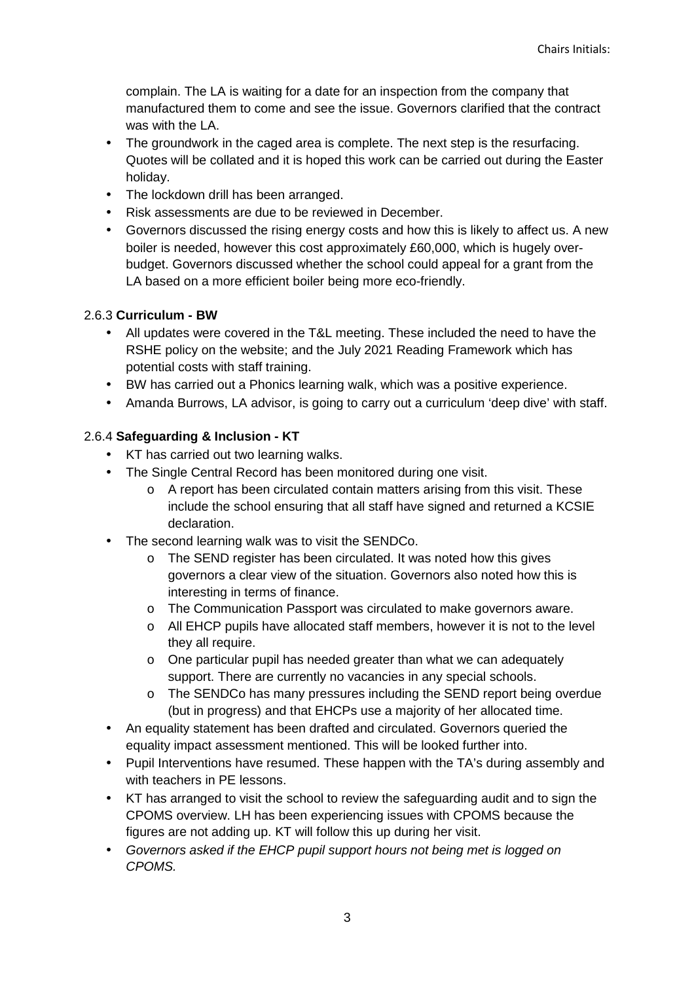complain. The LA is waiting for a date for an inspection from the company that manufactured them to come and see the issue. Governors clarified that the contract was with the LA.

- The groundwork in the caged area is complete. The next step is the resurfacing. Quotes will be collated and it is hoped this work can be carried out during the Easter holiday.
- The lockdown drill has been arranged.
- Risk assessments are due to be reviewed in December.
- Governors discussed the rising energy costs and how this is likely to affect us. A new boiler is needed, however this cost approximately £60,000, which is hugely overbudget. Governors discussed whether the school could appeal for a grant from the LA based on a more efficient boiler being more eco-friendly.

#### 2.6.3 **Curriculum - BW**

- All updates were covered in the T&L meeting. These included the need to have the RSHE policy on the website; and the July 2021 Reading Framework which has potential costs with staff training.
- BW has carried out a Phonics learning walk, which was a positive experience.
- Amanda Burrows, LA advisor, is going to carry out a curriculum 'deep dive' with staff.

#### 2.6.4 **Safeguarding & Inclusion - KT**

- KT has carried out two learning walks.
- The Single Central Record has been monitored during one visit.
	- $\circ$  A report has been circulated contain matters arising from this visit. These include the school ensuring that all staff have signed and returned a KCSIE declaration.
- The second learning walk was to visit the SENDCo.
	- o The SEND register has been circulated. It was noted how this gives governors a clear view of the situation. Governors also noted how this is interesting in terms of finance.
	- o The Communication Passport was circulated to make governors aware.
	- o All EHCP pupils have allocated staff members, however it is not to the level they all require.
	- o One particular pupil has needed greater than what we can adequately support. There are currently no vacancies in any special schools.
	- o The SENDCo has many pressures including the SEND report being overdue (but in progress) and that EHCPs use a majority of her allocated time.
- An equality statement has been drafted and circulated. Governors queried the equality impact assessment mentioned. This will be looked further into.
- Pupil Interventions have resumed. These happen with the TA's during assembly and with teachers in PE lessons.
- KT has arranged to visit the school to review the safeguarding audit and to sign the CPOMS overview. LH has been experiencing issues with CPOMS because the figures are not adding up. KT will follow this up during her visit.
- Governors asked if the EHCP pupil support hours not being met is logged on CPOMS.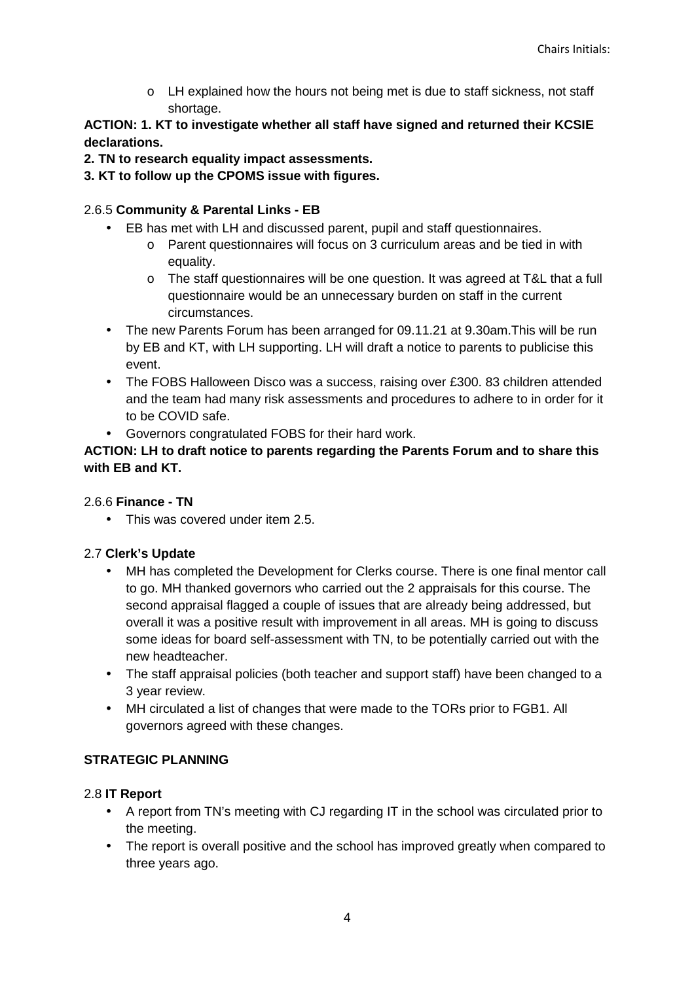o LH explained how the hours not being met is due to staff sickness, not staff shortage.

## **ACTION: 1. KT to investigate whether all staff have signed and returned their KCSIE declarations.**

- **2. TN to research equality impact assessments.**
- **3. KT to follow up the CPOMS issue with figures.**

## 2.6.5 **Community & Parental Links - EB**

- EB has met with LH and discussed parent, pupil and staff questionnaires.
	- o Parent questionnaires will focus on 3 curriculum areas and be tied in with equality.
	- o The staff questionnaires will be one question. It was agreed at T&L that a full questionnaire would be an unnecessary burden on staff in the current circumstances.
- The new Parents Forum has been arranged for 09.11.21 at 9.30am.This will be run by EB and KT, with LH supporting. LH will draft a notice to parents to publicise this event.
- The FOBS Halloween Disco was a success, raising over £300. 83 children attended and the team had many risk assessments and procedures to adhere to in order for it to be COVID safe.
- Governors congratulated FOBS for their hard work.

#### **ACTION: LH to draft notice to parents regarding the Parents Forum and to share this with EB and KT.**

#### 2.6.6 **Finance - TN**

• This was covered under item 2.5.

# 2.7 **Clerk's Update**

- MH has completed the Development for Clerks course. There is one final mentor call to go. MH thanked governors who carried out the 2 appraisals for this course. The second appraisal flagged a couple of issues that are already being addressed, but overall it was a positive result with improvement in all areas. MH is going to discuss some ideas for board self-assessment with TN, to be potentially carried out with the new headteacher.
- The staff appraisal policies (both teacher and support staff) have been changed to a 3 year review.
- MH circulated a list of changes that were made to the TORs prior to FGB1. All governors agreed with these changes.

# **STRATEGIC PLANNING**

#### 2.8 **IT Report**

- A report from TN's meeting with CJ regarding IT in the school was circulated prior to the meeting.
- The report is overall positive and the school has improved greatly when compared to three years ago.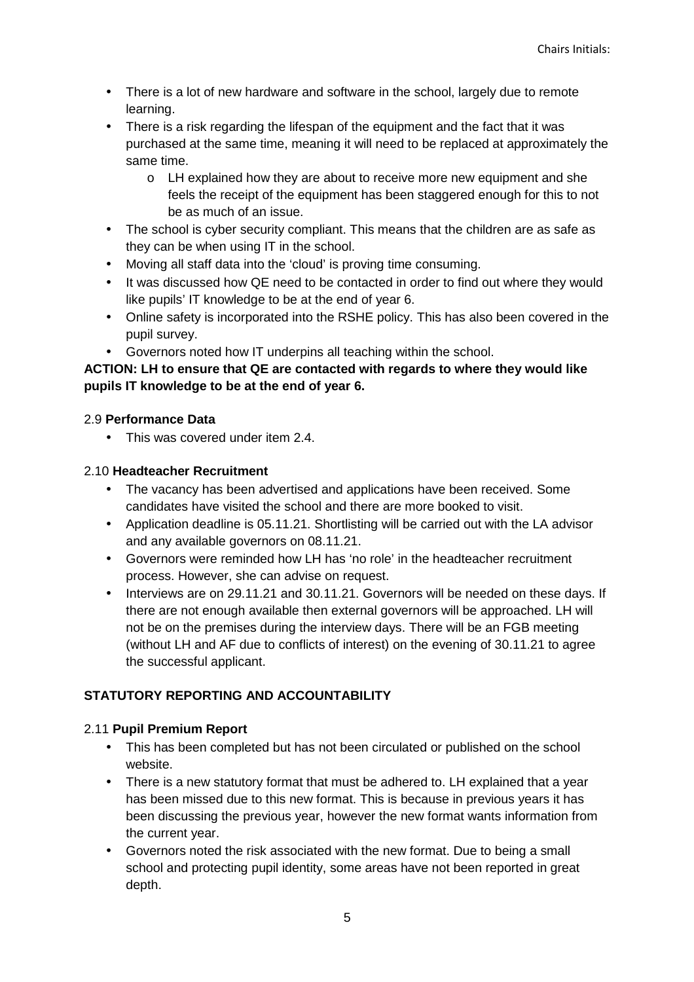- There is a lot of new hardware and software in the school, largely due to remote learning.
- There is a risk regarding the lifespan of the equipment and the fact that it was purchased at the same time, meaning it will need to be replaced at approximately the same time.
	- o LH explained how they are about to receive more new equipment and she feels the receipt of the equipment has been staggered enough for this to not be as much of an issue.
- The school is cyber security compliant. This means that the children are as safe as they can be when using IT in the school.
- Moving all staff data into the 'cloud' is proving time consuming.
- It was discussed how QE need to be contacted in order to find out where they would like pupils' IT knowledge to be at the end of year 6.
- Online safety is incorporated into the RSHE policy. This has also been covered in the pupil survey.
- Governors noted how IT underpins all teaching within the school.

## **ACTION: LH to ensure that QE are contacted with regards to where they would like pupils IT knowledge to be at the end of year 6.**

#### 2.9 **Performance Data**

• This was covered under item 2.4.

#### 2.10 **Headteacher Recruitment**

- The vacancy has been advertised and applications have been received. Some candidates have visited the school and there are more booked to visit.
- Application deadline is 05.11.21. Shortlisting will be carried out with the LA advisor and any available governors on 08.11.21.
- Governors were reminded how LH has 'no role' in the headteacher recruitment process. However, she can advise on request.
- Interviews are on 29.11.21 and 30.11.21. Governors will be needed on these days. If there are not enough available then external governors will be approached. LH will not be on the premises during the interview days. There will be an FGB meeting (without LH and AF due to conflicts of interest) on the evening of 30.11.21 to agree the successful applicant.

# **STATUTORY REPORTING AND ACCOUNTABILITY**

# 2.11 **Pupil Premium Report**

- This has been completed but has not been circulated or published on the school website.
- There is a new statutory format that must be adhered to. LH explained that a year has been missed due to this new format. This is because in previous years it has been discussing the previous year, however the new format wants information from the current year.
- Governors noted the risk associated with the new format. Due to being a small school and protecting pupil identity, some areas have not been reported in great depth.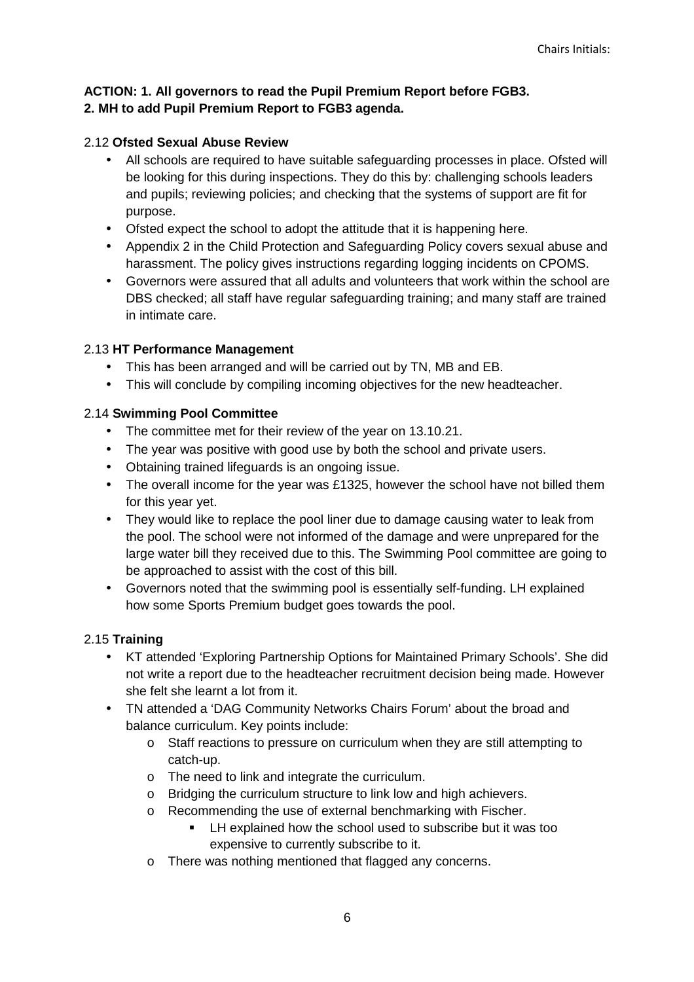#### **ACTION: 1. All governors to read the Pupil Premium Report before FGB3. 2. MH to add Pupil Premium Report to FGB3 agenda.**

#### 2.12 **Ofsted Sexual Abuse Review**

- All schools are required to have suitable safeguarding processes in place. Ofsted will be looking for this during inspections. They do this by: challenging schools leaders and pupils; reviewing policies; and checking that the systems of support are fit for purpose.
- Ofsted expect the school to adopt the attitude that it is happening here.
- Appendix 2 in the Child Protection and Safeguarding Policy covers sexual abuse and harassment. The policy gives instructions regarding logging incidents on CPOMS.
- Governors were assured that all adults and volunteers that work within the school are DBS checked; all staff have regular safeguarding training; and many staff are trained in intimate care.

#### 2.13 **HT Performance Management**

- This has been arranged and will be carried out by TN, MB and EB.
- This will conclude by compiling incoming objectives for the new headteacher.

#### 2.14 **Swimming Pool Committee**

- The committee met for their review of the year on 13.10.21.
- The year was positive with good use by both the school and private users.
- Obtaining trained lifeguards is an ongoing issue.
- The overall income for the year was £1325, however the school have not billed them for this year yet.
- They would like to replace the pool liner due to damage causing water to leak from the pool. The school were not informed of the damage and were unprepared for the large water bill they received due to this. The Swimming Pool committee are going to be approached to assist with the cost of this bill.
- Governors noted that the swimming pool is essentially self-funding. LH explained how some Sports Premium budget goes towards the pool.

#### 2.15 **Training**

- KT attended 'Exploring Partnership Options for Maintained Primary Schools'. She did not write a report due to the headteacher recruitment decision being made. However she felt she learnt a lot from it.
- TN attended a 'DAG Community Networks Chairs Forum' about the broad and balance curriculum. Key points include:
	- o Staff reactions to pressure on curriculum when they are still attempting to catch-up.
	- o The need to link and integrate the curriculum.
	- o Bridging the curriculum structure to link low and high achievers.
	- o Recommending the use of external benchmarking with Fischer.
		- **EXECT** LH explained how the school used to subscribe but it was too expensive to currently subscribe to it.
	- o There was nothing mentioned that flagged any concerns.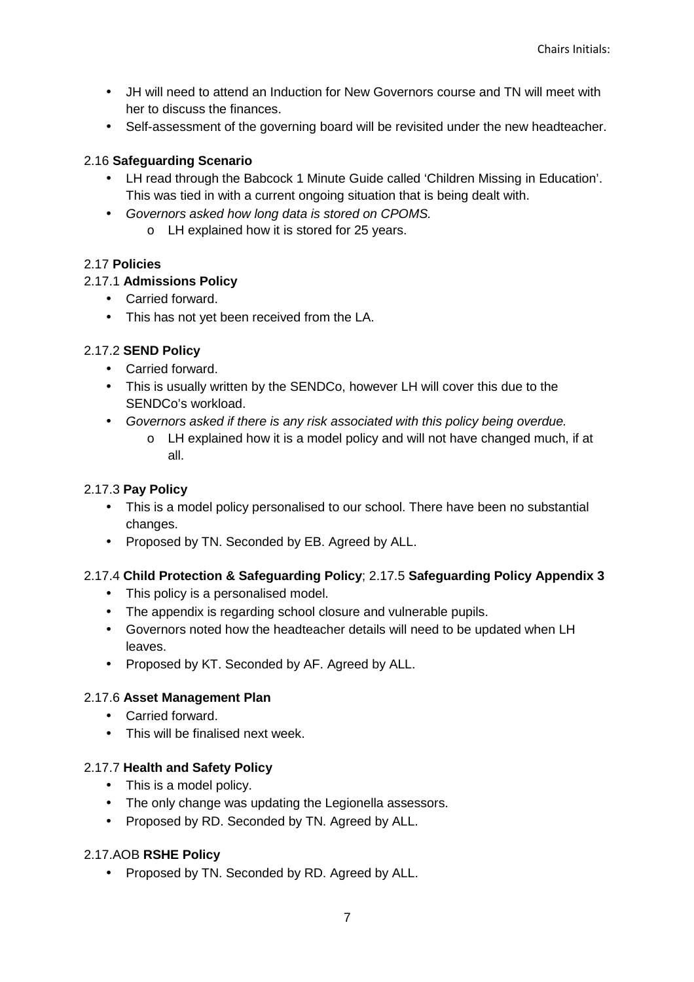- JH will need to attend an Induction for New Governors course and TN will meet with her to discuss the finances.
- Self-assessment of the governing board will be revisited under the new headteacher.

## 2.16 **Safeguarding Scenario**

- LH read through the Babcock 1 Minute Guide called 'Children Missing in Education'. This was tied in with a current ongoing situation that is being dealt with.
- Governors asked how long data is stored on CPOMS.
	- o LH explained how it is stored for 25 years.

## 2.17 **Policies**

## 2.17.1 **Admissions Policy**

- Carried forward.
- This has not yet been received from the LA.

## 2.17.2 **SEND Policy**

- Carried forward.
- This is usually written by the SENDCo, however LH will cover this due to the SENDCo's workload.
- Governors asked if there is any risk associated with this policy being overdue.
	- o LH explained how it is a model policy and will not have changed much, if at all.

### 2.17.3 **Pay Policy**

- This is a model policy personalised to our school. There have been no substantial changes.
- Proposed by TN. Seconded by EB. Agreed by ALL.

#### 2.17.4 **Child Protection & Safeguarding Policy**; 2.17.5 **Safeguarding Policy Appendix 3**

- This policy is a personalised model.
- The appendix is regarding school closure and vulnerable pupils.
- Governors noted how the headteacher details will need to be updated when LH leaves.
- Proposed by KT. Seconded by AF. Agreed by ALL.

#### 2.17.6 **Asset Management Plan**

- Carried forward.
- This will be finalised next week

#### 2.17.7 **Health and Safety Policy**

- This is a model policy.
- The only change was updating the Legionella assessors.
- Proposed by RD. Seconded by TN. Agreed by ALL.

# 2.17.AOB **RSHE Policy**

• Proposed by TN. Seconded by RD. Agreed by ALL.